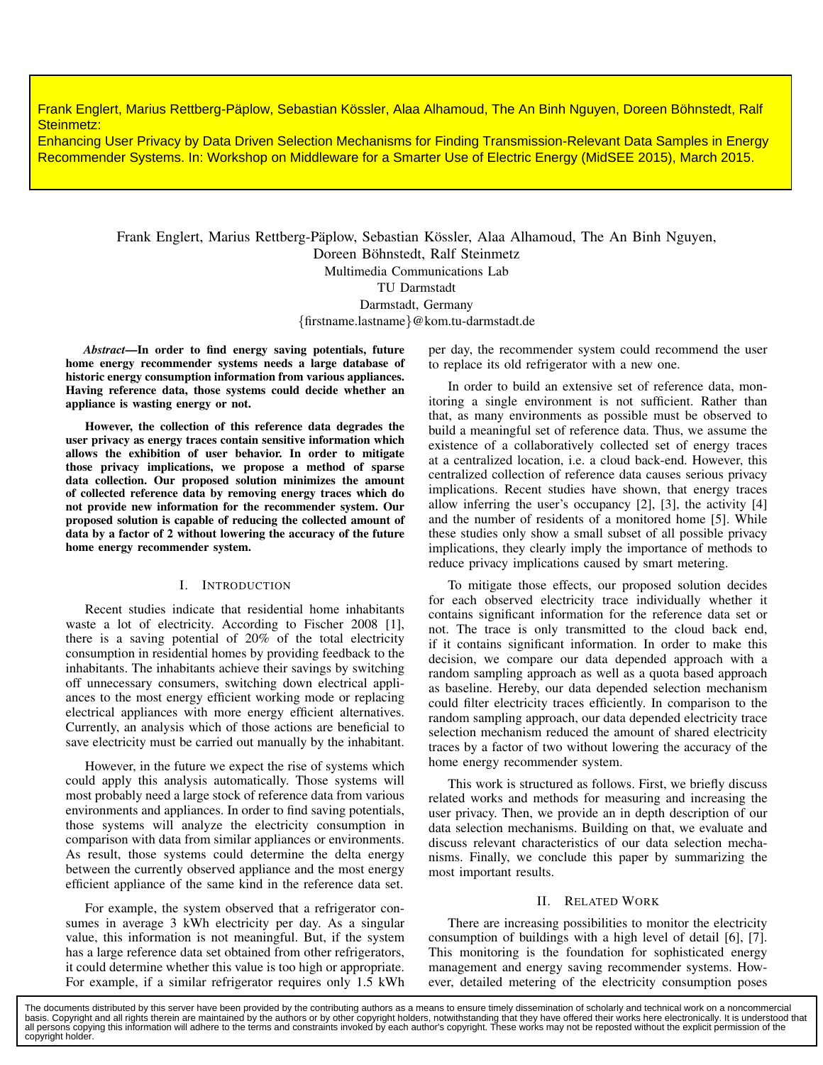Enhancing User Privacy by Data Driven Selection Trans Englen, Manus Reliberg-Laplow, Sebastian Rossier, Alaa Alhamoud, The An Dinn Nguyen, Doreen Donnsteur, Rail<br>Steinmetz:<br>Enhancing User Privacy by Data Driven Selection Mechanisms for Finding Transmission-Relevant Data Frank Englert, Marius Rettberg-Päplow, Sebastian Kössler, Alaa Alhamoud, The An Binh Nguyen, Doreen Böhnstedt, Ralf Steinmetz:

Recommender Systems. In: Workshop on Middleware for a Smarter Use of Electric Energy (MidSEE 2015), March 2015.<br>.

Frank Englert, Marius Rettberg-Päplow, Sebastian Kössler, Alaa Alhamoud, The An Binh Nguyen, Doreen Böhnstedt, Ralf Steinmetz Multimedia Communications Lab TU Darmstadt Darmstadt, Germany {firstname.lastname}@kom.tu-darmstadt.de

*Abstract*—In order to find energy saving potentials, future home energy recommender systems needs a large database of historic energy consumption information from various appliances. Having reference data, those systems could decide whether an appliance is wasting energy or not.

However, the collection of this reference data degrades the user privacy as energy traces contain sensitive information which allows the exhibition of user behavior. In order to mitigate those privacy implications, we propose a method of sparse data collection. Our proposed solution minimizes the amount of collected reference data by removing energy traces which do not provide new information for the recommender system. Our proposed solution is capable of reducing the collected amount of data by a factor of 2 without lowering the accuracy of the future home energy recommender system.

## I. INTRODUCTION

Recent studies indicate that residential home inhabitants waste a lot of electricity. According to Fischer 2008 [1], there is a saving potential of 20% of the total electricity consumption in residential homes by providing feedback to the inhabitants. The inhabitants achieve their savings by switching off unnecessary consumers, switching down electrical appliances to the most energy efficient working mode or replacing electrical appliances with more energy efficient alternatives. Currently, an analysis which of those actions are beneficial to save electricity must be carried out manually by the inhabitant.

However, in the future we expect the rise of systems which could apply this analysis automatically. Those systems will most probably need a large stock of reference data from various environments and appliances. In order to find saving potentials, those systems will analyze the electricity consumption in comparison with data from similar appliances or environments. As result, those systems could determine the delta energy between the currently observed appliance and the most energy efficient appliance of the same kind in the reference data set.

For example, the system observed that a refrigerator consumes in average 3 kWh electricity per day. As a singular value, this information is not meaningful. But, if the system has a large reference data set obtained from other refrigerators, it could determine whether this value is too high or appropriate. For example, if a similar refrigerator requires only 1.5 kWh per day, the recommender system could recommend the user to replace its old refrigerator with a new one.

In order to build an extensive set of reference data, monitoring a single environment is not sufficient. Rather than that, as many environments as possible must be observed to build a meaningful set of reference data. Thus, we assume the existence of a collaboratively collected set of energy traces at a centralized location, i.e. a cloud back-end. However, this centralized collection of reference data causes serious privacy implications. Recent studies have shown, that energy traces allow inferring the user's occupancy [2], [3], the activity [4] and the number of residents of a monitored home [5]. While these studies only show a small subset of all possible privacy implications, they clearly imply the importance of methods to reduce privacy implications caused by smart metering.

To mitigate those effects, our proposed solution decides for each observed electricity trace individually whether it contains significant information for the reference data set or not. The trace is only transmitted to the cloud back end, if it contains significant information. In order to make this decision, we compare our data depended approach with a random sampling approach as well as a quota based approach as baseline. Hereby, our data depended selection mechanism could filter electricity traces efficiently. In comparison to the random sampling approach, our data depended electricity trace selection mechanism reduced the amount of shared electricity traces by a factor of two without lowering the accuracy of the home energy recommender system.

This work is structured as follows. First, we briefly discuss related works and methods for measuring and increasing the user privacy. Then, we provide an in depth description of our data selection mechanisms. Building on that, we evaluate and discuss relevant characteristics of our data selection mechanisms. Finally, we conclude this paper by summarizing the most important results.

# II. RELATED WORK

There are increasing possibilities to monitor the electricity consumption of buildings with a high level of detail [6], [7]. This monitoring is the foundation for sophisticated energy management and energy saving recommender systems. However, detailed metering of the electricity consumption poses

The documents distributed by this server have been provided by the contributing authors as a means to ensure timely dissemination of scholarly and technical work on a noncommercial basis. Copyright and all rights therein are maintained by the authors or by other copyright holders, notwithstanding that they have offered their works here electronically. It is understood that<br>all persons copying this in copyright holder.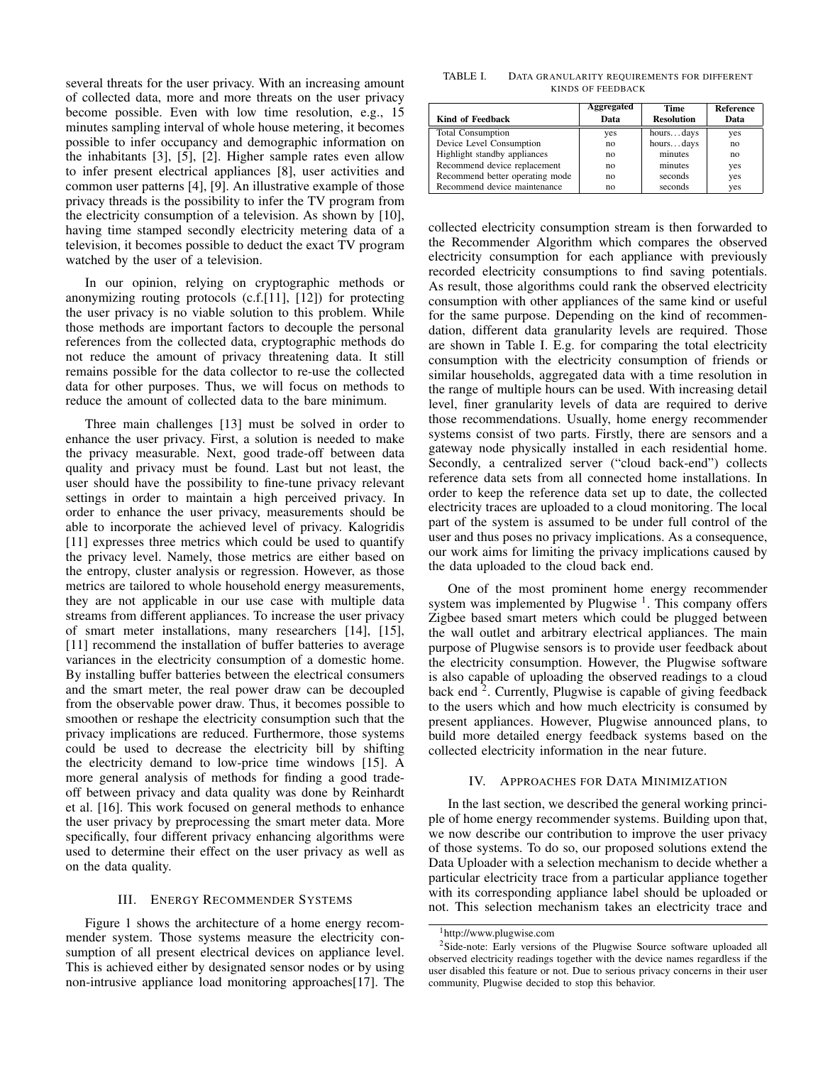several threats for the user privacy. With an increasing amount of collected data, more and more threats on the user privacy become possible. Even with low time resolution, e.g., 15 minutes sampling interval of whole house metering, it becomes possible to infer occupancy and demographic information on the inhabitants [3], [5], [2]. Higher sample rates even allow to infer present electrical appliances [8], user activities and common user patterns [4], [9]. An illustrative example of those privacy threads is the possibility to infer the TV program from the electricity consumption of a television. As shown by [10], having time stamped secondly electricity metering data of a television, it becomes possible to deduct the exact TV program watched by the user of a television.

In our opinion, relying on cryptographic methods or anonymizing routing protocols (c.f.[11], [12]) for protecting the user privacy is no viable solution to this problem. While those methods are important factors to decouple the personal references from the collected data, cryptographic methods do not reduce the amount of privacy threatening data. It still remains possible for the data collector to re-use the collected data for other purposes. Thus, we will focus on methods to reduce the amount of collected data to the bare minimum.

Three main challenges [13] must be solved in order to enhance the user privacy. First, a solution is needed to make the privacy measurable. Next, good trade-off between data quality and privacy must be found. Last but not least, the user should have the possibility to fine-tune privacy relevant settings in order to maintain a high perceived privacy. In order to enhance the user privacy, measurements should be able to incorporate the achieved level of privacy. Kalogridis [11] expresses three metrics which could be used to quantify the privacy level. Namely, those metrics are either based on the entropy, cluster analysis or regression. However, as those metrics are tailored to whole household energy measurements, they are not applicable in our use case with multiple data streams from different appliances. To increase the user privacy of smart meter installations, many researchers [14], [15], [11] recommend the installation of buffer batteries to average variances in the electricity consumption of a domestic home. By installing buffer batteries between the electrical consumers and the smart meter, the real power draw can be decoupled from the observable power draw. Thus, it becomes possible to smoothen or reshape the electricity consumption such that the privacy implications are reduced. Furthermore, those systems could be used to decrease the electricity bill by shifting the electricity demand to low-price time windows [15]. A more general analysis of methods for finding a good tradeoff between privacy and data quality was done by Reinhardt et al. [16]. This work focused on general methods to enhance the user privacy by preprocessing the smart meter data. More specifically, four different privacy enhancing algorithms were used to determine their effect on the user privacy as well as on the data quality.

### III. ENERGY RECOMMENDER SYSTEMS

Figure 1 shows the architecture of a home energy recommender system. Those systems measure the electricity consumption of all present electrical devices on appliance level. This is achieved either by designated sensor nodes or by using non-intrusive appliance load monitoring approaches[17]. The

TABLE I. DATA GRANULARITY REQUIREMENTS FOR DIFFERENT KINDS OF FEEDBACK

| <b>Kind of Feedback</b>         | Aggregated<br>Data | Time<br><b>Resolution</b> | Reference<br>Data |
|---------------------------------|--------------------|---------------------------|-------------------|
| <b>Total Consumption</b>        | yes                | hoursdays                 | yes               |
| Device Level Consumption        | n <sub>0</sub>     | hoursdays                 | no                |
| Highlight standby appliances    | n <sub>O</sub>     | minutes                   | no                |
| Recommend device replacement    | n <sub>O</sub>     | minutes                   | yes               |
| Recommend better operating mode | n <sub>O</sub>     | seconds                   | yes               |
| Recommend device maintenance    | n <sub>O</sub>     | seconds                   | yes               |

collected electricity consumption stream is then forwarded to the Recommender Algorithm which compares the observed electricity consumption for each appliance with previously recorded electricity consumptions to find saving potentials. As result, those algorithms could rank the observed electricity consumption with other appliances of the same kind or useful for the same purpose. Depending on the kind of recommendation, different data granularity levels are required. Those are shown in Table I. E.g. for comparing the total electricity consumption with the electricity consumption of friends or similar households, aggregated data with a time resolution in the range of multiple hours can be used. With increasing detail level, finer granularity levels of data are required to derive those recommendations. Usually, home energy recommender systems consist of two parts. Firstly, there are sensors and a gateway node physically installed in each residential home. Secondly, a centralized server ("cloud back-end") collects reference data sets from all connected home installations. In order to keep the reference data set up to date, the collected electricity traces are uploaded to a cloud monitoring. The local part of the system is assumed to be under full control of the user and thus poses no privacy implications. As a consequence, our work aims for limiting the privacy implications caused by the data uploaded to the cloud back end.

One of the most prominent home energy recommender system was implemented by Plugwise<sup>1</sup>. This company offers Zigbee based smart meters which could be plugged between the wall outlet and arbitrary electrical appliances. The main purpose of Plugwise sensors is to provide user feedback about the electricity consumption. However, the Plugwise software is also capable of uploading the observed readings to a cloud back end  $2$ . Currently, Plugwise is capable of giving feedback to the users which and how much electricity is consumed by present appliances. However, Plugwise announced plans, to build more detailed energy feedback systems based on the collected electricity information in the near future.

#### IV. APPROACHES FOR DATA MINIMIZATION

In the last section, we described the general working principle of home energy recommender systems. Building upon that, we now describe our contribution to improve the user privacy of those systems. To do so, our proposed solutions extend the Data Uploader with a selection mechanism to decide whether a particular electricity trace from a particular appliance together with its corresponding appliance label should be uploaded or not. This selection mechanism takes an electricity trace and

<sup>1</sup>http://www.plugwise.com

<sup>2</sup>Side-note: Early versions of the Plugwise Source software uploaded all observed electricity readings together with the device names regardless if the user disabled this feature or not. Due to serious privacy concerns in their user community, Plugwise decided to stop this behavior.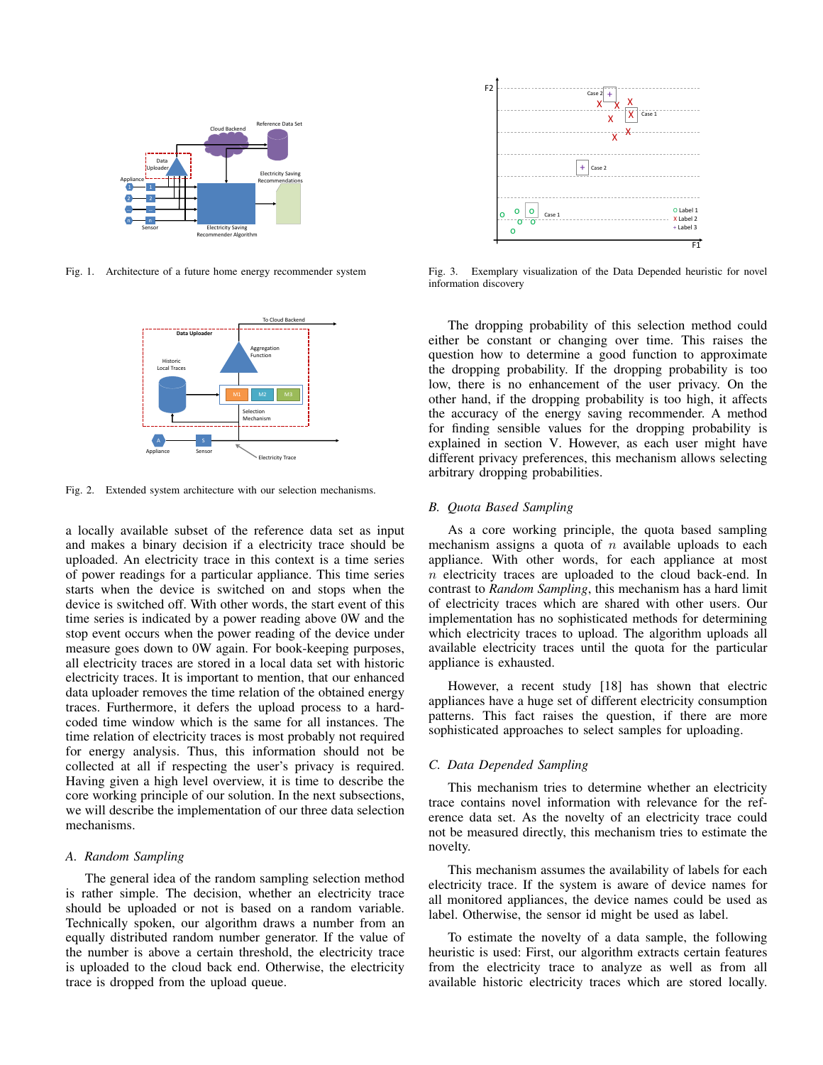

Fig. 1. Architecture of a future home energy recommender system



Fig. 2. Extended system architecture with our selection mechanisms.

a locally available subset of the reference data set as input and makes a binary decision if a electricity trace should be uploaded. An electricity trace in this context is a time series of power readings for a particular appliance. This time series starts when the device is switched on and stops when the device is switched off. With other words, the start event of this time series is indicated by a power reading above 0W and the stop event occurs when the power reading of the device under measure goes down to 0W again. For book-keeping purposes, all electricity traces are stored in a local data set with historic electricity traces. It is important to mention, that our enhanced data uploader removes the time relation of the obtained energy traces. Furthermore, it defers the upload process to a hardcoded time window which is the same for all instances. The time relation of electricity traces is most probably not required for energy analysis. Thus, this information should not be collected at all if respecting the user's privacy is required. Having given a high level overview, it is time to describe the core working principle of our solution. In the next subsections, we will describe the implementation of our three data selection mechanisms. Fig. 1. Acceleration of the matrix of the matrix of the term is determined to the energy recommender system and the dropping of the the upload of the matrix of the system and the upper spectral of the matrix of the matrix

### *A. Random Sampling*

The general idea of the random sampling selection method is rather simple. The decision, whether an electricity trace should be uploaded or not is based on a random variable. Technically spoken, our algorithm draws a number from an equally distributed random number generator. If the value of the number is above a certain threshold, the electricity trace is uploaded to the cloud back end. Otherwise, the electricity



Fig. 3. Exemplary visualization of the Data Depended heuristic for novel information discovery

The dropping probability of this selection method could either be constant or changing over time. This raises the question how to determine a good function to approximate the dropping probability. If the dropping probability is too low, there is no enhancement of the user privacy. On the other hand, if the dropping probability is too high, it affects the accuracy of the energy saving recommender. A method for finding sensible values for the dropping probability is explained in section V. However, as each user might have different privacy preferences, this mechanism allows selecting arbitrary dropping probabilities.

#### *B. Quota Based Sampling*

As a core working principle, the quota based sampling mechanism assigns a quota of  $n$  available uploads to each appliance. With other words, for each appliance at most n electricity traces are uploaded to the cloud back-end. In contrast to *Random Sampling*, this mechanism has a hard limit of electricity traces which are shared with other users. Our implementation has no sophisticated methods for determining which electricity traces to upload. The algorithm uploads all available electricity traces until the quota for the particular appliance is exhausted.

However, a recent study [18] has shown that electric appliances have a huge set of different electricity consumption patterns. This fact raises the question, if there are more sophisticated approaches to select samples for uploading.

# *C. Data Depended Sampling*

This mechanism tries to determine whether an electricity trace contains novel information with relevance for the reference data set. As the novelty of an electricity trace could not be measured directly, this mechanism tries to estimate the novelty.

This mechanism assumes the availability of labels for each electricity trace. If the system is aware of device names for all monitored appliances, the device names could be used as label. Otherwise, the sensor id might be used as label.

To estimate the novelty of a data sample, the following heuristic is used: First, our algorithm extracts certain features from the electricity trace to analyze as well as from all available historic electricity traces which are stored locally.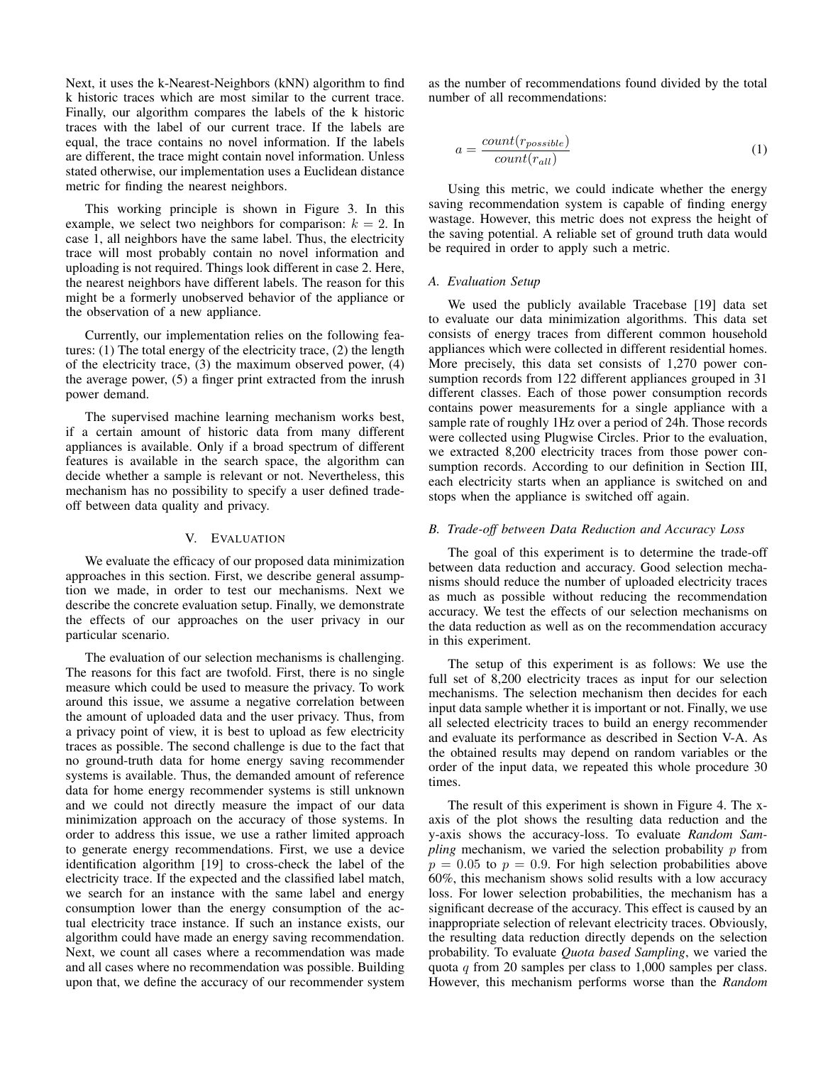Next, it uses the k-Nearest-Neighbors (kNN) algorithm to find k historic traces which are most similar to the current trace. Finally, our algorithm compares the labels of the k historic traces with the label of our current trace. If the labels are equal, the trace contains no novel information. If the labels are different, the trace might contain novel information. Unless stated otherwise, our implementation uses a Euclidean distance metric for finding the nearest neighbors.

This working principle is shown in Figure 3. In this example, we select two neighbors for comparison:  $k = 2$ . In case 1, all neighbors have the same label. Thus, the electricity trace will most probably contain no novel information and uploading is not required. Things look different in case 2. Here, the nearest neighbors have different labels. The reason for this might be a formerly unobserved behavior of the appliance or the observation of a new appliance.

Currently, our implementation relies on the following features: (1) The total energy of the electricity trace, (2) the length of the electricity trace, (3) the maximum observed power, (4) the average power, (5) a finger print extracted from the inrush power demand.

The supervised machine learning mechanism works best, if a certain amount of historic data from many different appliances is available. Only if a broad spectrum of different features is available in the search space, the algorithm can decide whether a sample is relevant or not. Nevertheless, this mechanism has no possibility to specify a user defined tradeoff between data quality and privacy.

## V. EVALUATION

We evaluate the efficacy of our proposed data minimization approaches in this section. First, we describe general assumption we made, in order to test our mechanisms. Next we describe the concrete evaluation setup. Finally, we demonstrate the effects of our approaches on the user privacy in our particular scenario.

The evaluation of our selection mechanisms is challenging. The reasons for this fact are twofold. First, there is no single measure which could be used to measure the privacy. To work around this issue, we assume a negative correlation between the amount of uploaded data and the user privacy. Thus, from a privacy point of view, it is best to upload as few electricity traces as possible. The second challenge is due to the fact that no ground-truth data for home energy saving recommender systems is available. Thus, the demanded amount of reference data for home energy recommender systems is still unknown and we could not directly measure the impact of our data minimization approach on the accuracy of those systems. In order to address this issue, we use a rather limited approach to generate energy recommendations. First, we use a device identification algorithm [19] to cross-check the label of the electricity trace. If the expected and the classified label match, we search for an instance with the same label and energy consumption lower than the energy consumption of the actual electricity trace instance. If such an instance exists, our algorithm could have made an energy saving recommendation. Next, we count all cases where a recommendation was made and all cases where no recommendation was possible. Building upon that, we define the accuracy of our recommender system as the number of recommendations found divided by the total number of all recommendations:

$$
a = \frac{count(r_{possible})}{count(r_{all})}
$$
 (1)

Using this metric, we could indicate whether the energy saving recommendation system is capable of finding energy wastage. However, this metric does not express the height of the saving potential. A reliable set of ground truth data would be required in order to apply such a metric.

### *A. Evaluation Setup*

We used the publicly available Tracebase [19] data set to evaluate our data minimization algorithms. This data set consists of energy traces from different common household appliances which were collected in different residential homes. More precisely, this data set consists of 1,270 power consumption records from 122 different appliances grouped in 31 different classes. Each of those power consumption records contains power measurements for a single appliance with a sample rate of roughly 1Hz over a period of 24h. Those records were collected using Plugwise Circles. Prior to the evaluation, we extracted 8,200 electricity traces from those power consumption records. According to our definition in Section III, each electricity starts when an appliance is switched on and stops when the appliance is switched off again.

### *B. Trade-off between Data Reduction and Accuracy Loss*

The goal of this experiment is to determine the trade-off between data reduction and accuracy. Good selection mechanisms should reduce the number of uploaded electricity traces as much as possible without reducing the recommendation accuracy. We test the effects of our selection mechanisms on the data reduction as well as on the recommendation accuracy in this experiment.

The setup of this experiment is as follows: We use the full set of 8,200 electricity traces as input for our selection mechanisms. The selection mechanism then decides for each input data sample whether it is important or not. Finally, we use all selected electricity traces to build an energy recommender and evaluate its performance as described in Section V-A. As the obtained results may depend on random variables or the order of the input data, we repeated this whole procedure 30 times.

The result of this experiment is shown in Figure 4. The xaxis of the plot shows the resulting data reduction and the y-axis shows the accuracy-loss. To evaluate *Random Sampling* mechanism, we varied the selection probability  $p$  from  $p = 0.05$  to  $p = 0.9$ . For high selection probabilities above 60%, this mechanism shows solid results with a low accuracy loss. For lower selection probabilities, the mechanism has a significant decrease of the accuracy. This effect is caused by an inappropriate selection of relevant electricity traces. Obviously, the resulting data reduction directly depends on the selection probability. To evaluate *Quota based Sampling*, we varied the quota  $q$  from 20 samples per class to 1,000 samples per class. However, this mechanism performs worse than the *Random*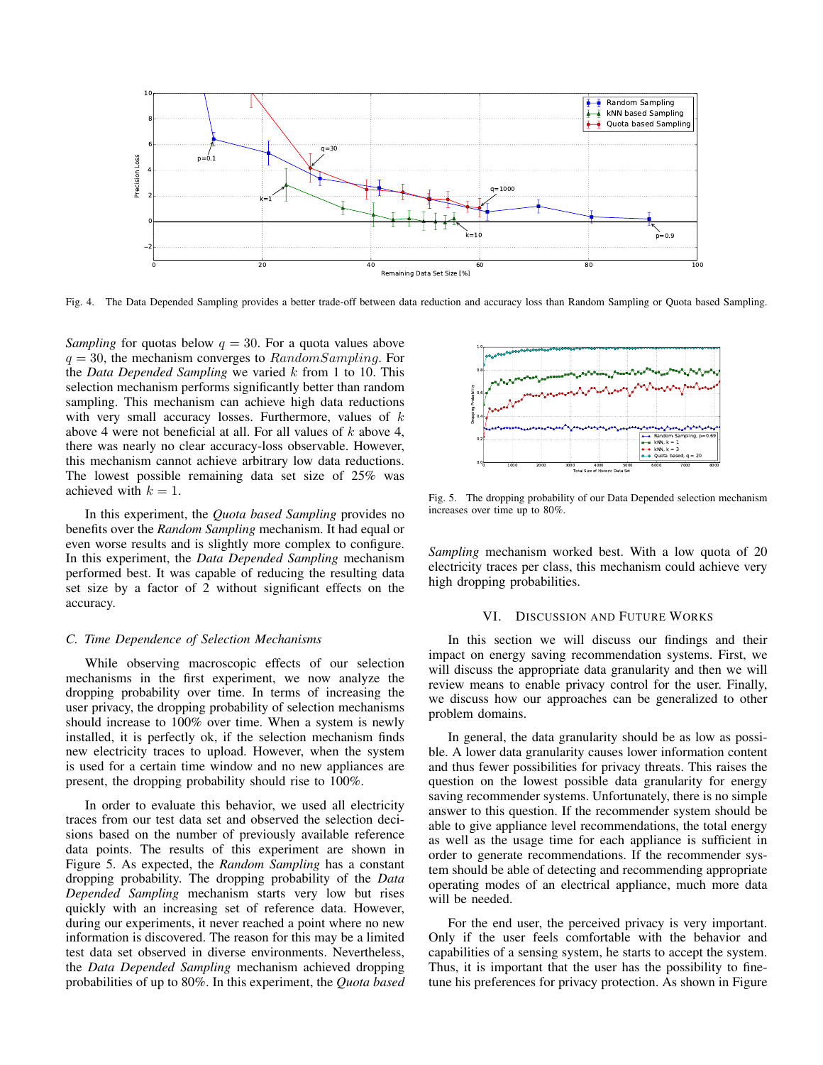

Fig. 4. The Data Depended Sampling provides a better trade-off between data reduction and accuracy loss than Random Sampling or Quota based Sampling.

*Sampling* for quotas below  $q = 30$ . For a quota values above  $q = 30$ , the mechanism converges to  $RandomSampling$ . For the *Data Depended Sampling* we varied k from 1 to 10. This selection mechanism performs significantly better than random sampling. This mechanism can achieve high data reductions with very small accuracy losses. Furthermore, values of  $k$ above 4 were not beneficial at all. For all values of  $k$  above 4, there was nearly no clear accuracy-loss observable. However, this mechanism cannot achieve arbitrary low data reductions. The lowest possible remaining data set size of 25% was achieved with  $k = 1$ .

In this experiment, the *Quota based Sampling* provides no benefits over the *Random Sampling* mechanism. It had equal or even worse results and is slightly more complex to configure. In this experiment, the *Data Depended Sampling* mechanism performed best. It was capable of reducing the resulting data set size by a factor of 2 without significant effects on the accuracy.

### *C. Time Dependence of Selection Mechanisms*

While observing macroscopic effects of our selection mechanisms in the first experiment, we now analyze the dropping probability over time. In terms of increasing the user privacy, the dropping probability of selection mechanisms should increase to 100% over time. When a system is newly installed, it is perfectly ok, if the selection mechanism finds new electricity traces to upload. However, when the system is used for a certain time window and no new appliances are present, the dropping probability should rise to 100%.

In order to evaluate this behavior, we used all electricity traces from our test data set and observed the selection decisions based on the number of previously available reference data points. The results of this experiment are shown in Figure 5. As expected, the *Random Sampling* has a constant dropping probability. The dropping probability of the *Data Depended Sampling* mechanism starts very low but rises quickly with an increasing set of reference data. However, during our experiments, it never reached a point where no new information is discovered. The reason for this may be a limited test data set observed in diverse environments. Nevertheless, the *Data Depended Sampling* mechanism achieved dropping probabilities of up to 80%. In this experiment, the *Quota based*



Fig. 5. The dropping probability of our Data Depended selection mechanism increases over time up to 80%.

*Sampling* mechanism worked best. With a low quota of 20 electricity traces per class, this mechanism could achieve very high dropping probabilities.

### VI. DISCUSSION AND FUTURE WORKS

In this section we will discuss our findings and their impact on energy saving recommendation systems. First, we will discuss the appropriate data granularity and then we will review means to enable privacy control for the user. Finally, we discuss how our approaches can be generalized to other problem domains.

In general, the data granularity should be as low as possible. A lower data granularity causes lower information content and thus fewer possibilities for privacy threats. This raises the question on the lowest possible data granularity for energy saving recommender systems. Unfortunately, there is no simple answer to this question. If the recommender system should be able to give appliance level recommendations, the total energy as well as the usage time for each appliance is sufficient in order to generate recommendations. If the recommender system should be able of detecting and recommending appropriate operating modes of an electrical appliance, much more data will be needed.

For the end user, the perceived privacy is very important. Only if the user feels comfortable with the behavior and capabilities of a sensing system, he starts to accept the system. Thus, it is important that the user has the possibility to finetune his preferences for privacy protection. As shown in Figure